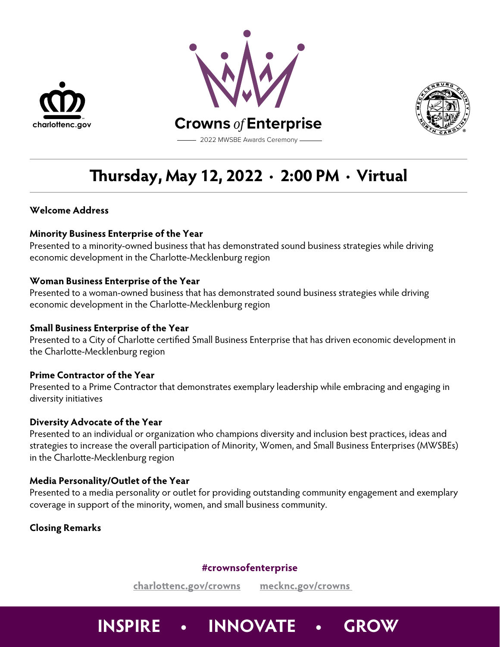





# **ursday, May 12, 2022 ∙ 2:00 PM ∙ Virtual**

# **Welcome Address**

# **Minority Business Enterprise of the Year**

Presented to a minority-owned business that has demonstrated sound business strategies while driving economic development in the Charlotte-Mecklenburg region

# **Woman Business Enterprise of the Year**

Presented to a woman-owned business that has demonstrated sound business strategies while driving economic development in the Charlotte-Mecklenburg region

# **Small Business Enterprise of the Year**

Presented to a City of Charlotte certified Small Business Enterprise that has driven economic development in the Charlotte-Mecklenburg region

# **Prime Contractor of the Year**

Presented to a Prime Contractor that demonstrates exemplary leadership while embracing and engaging in diversity initiatives

# **Diversity Advocate of the Year**

Presented to an individual or organization who champions diversity and inclusion best practices, ideas and strategies to increase the overall participation of Minority, Women, and Small Business Enterprises (MWSBEs) in the Charlotte-Mecklenburg region

# **Media Personality/Outlet of the Year**

Presented to a media personality or outlet for providing outstanding community engagement and exemplary coverage in support of the minority, women, and small business community.

# **Closing Remarks**

# **#crownsofenterprise**

**charloenc.gov/crowns mecknc.gov/crowns** 

# **INSPIRE • INNOVATE • GROW**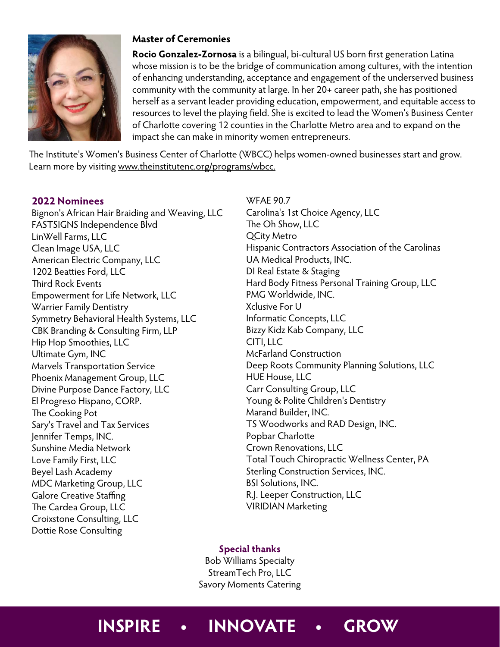

# **Master of Ceremonies**

**Rocio Gonzalez-Zornosa** is a bilingual, bi-cultural US born first generation Latina whose mission is to be the bridge of communication among cultures, with the intention of enhancing understanding, acceptance and engagement of the underserved business community with the community at large. In her 20+ career path, she has positioned herself as a servant leader providing education, empowerment, and equitable access to resources to level the playing field. She is excited to lead the Women's Business Center of Charlotte covering 12 counties in the Charlotte Metro area and to expand on the impact she can make in minority women entrepreneurs.

The Institute's Women's Business Center of Charlotte (WBCC) helps women-owned businesses start and grow. Learn more by visiting www.theinstitutenc.org/programs/wbcc.

# **2022 Nominees**

Bignon's African Hair Braiding and Weaving, LLC FASTSIGNS Independence Blvd LinWell Farms, LLC Clean Image USA, LLC American Electric Company, LLC 1202 Beatties Ford, LLC Third Rock Events Empowerment for Life Network, LLC Warrier Family Dentistry Symmetry Behavioral Health Systems, LLC CBK Branding & Consulting Firm, LLP Hip Hop Smoothies, LLC Ultimate Gym, INC Marvels Transportation Service Phoenix Management Group, LLC Divine Purpose Dance Factory, LLC El Progreso Hispano, CORP. The Cooking Pot Sary's Travel and Tax Services Jennifer Temps, INC. Sunshine Media Network Love Family First, LLC Beyel Lash Academy MDC Marketing Group, LLC Galore Creative Staffing The Cardea Group, LLC Croixstone Consulting, LLC Dottie Rose Consulting

WFAE 90.7 Carolina's 1st Choice Agency, LLC The Oh Show, LLC QCity Metro Hispanic Contractors Association of the Carolinas UA Medical Products, INC. DI Real Estate & Staging Hard Body Fitness Personal Training Group, LLC PMG Worldwide, INC. Xclusive For U Informatic Concepts, LLC Bizzy Kidz Kab Company, LLC CITI, LLC McFarland Construction Deep Roots Community Planning Solutions, LLC HUE House, LLC Carr Consulting Group, LLC Young & Polite Children's Dentistry Marand Builder, INC. TS Woodworks and RAD Design, INC. Popbar Charlotte Crown Renovations, LLC Total Touch Chiropractic Wellness Center, PA Sterling Construction Services, INC. BSI Solutions, INC. R.J. Leeper Construction, LLC VIRIDIAN Marketing

# **Special thanks**

Bob Williams Specialty StreamTech Pro, LLC Savory Moments Catering

# **INSPIRE • INNOVATE • GROW**